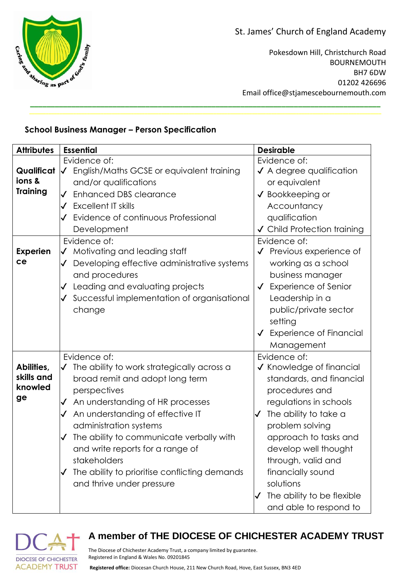St. James' Church of England Academy

Pokesdown Hill, Christchurch Road BOURNEMOUTH BH7 6DW 01202 426696 Email office@stjamescebournemouth.com

## **School Business Manager – Person Specification**

| <b>Attributes</b>                         | <b>Essential</b>                                                                                                                                                                                                                                                                                                                                                                                                              | <b>Desirable</b>                                                                                                                                                                                                                                                                                                                              |
|-------------------------------------------|-------------------------------------------------------------------------------------------------------------------------------------------------------------------------------------------------------------------------------------------------------------------------------------------------------------------------------------------------------------------------------------------------------------------------------|-----------------------------------------------------------------------------------------------------------------------------------------------------------------------------------------------------------------------------------------------------------------------------------------------------------------------------------------------|
| Qualificat<br>ions &<br><b>Training</b>   | Evidence of:<br>English/Maths GCSE or equivalent training<br>$\sqrt{ }$<br>and/or qualifications<br><b>Enhanced DBS clearance</b><br>$\checkmark$<br>$\checkmark$ Excellent IT skills<br>Evidence of continuous Professional<br>Development                                                                                                                                                                                   | Evidence of:<br>✔ A degree qualification<br>or equivalent<br>✔ Bookkeeping or<br>Accountancy<br>qualification<br>✔ Child Protection training                                                                                                                                                                                                  |
| <b>Experien</b><br>ce                     | Evidence of:<br>Motivating and leading staff<br>$\checkmark$<br>Developing effective administrative systems<br>$\checkmark$<br>and procedures<br>Leading and evaluating projects<br>Successful implementation of organisational<br>change                                                                                                                                                                                     | Evidence of:<br>√ Previous experience of<br>working as a school<br>business manager<br><b>Experience of Senior</b><br>$\checkmark$<br>Leadership in a<br>public/private sector<br>setting<br>↓ Experience of Financial<br>Management                                                                                                          |
| Abilities,<br>skills and<br>knowled<br>ge | Evidence of:<br>The ability to work strategically across a<br>$\checkmark$<br>broad remit and adopt long term<br>perspectives<br>An understanding of HR processes<br>$\checkmark$<br>An understanding of effective IT<br>administration systems<br>The ability to communicate verbally with<br>and write reports for a range of<br>stakeholders<br>The ability to prioritise conflicting demands<br>and thrive under pressure | Evidence of:<br>✔ Knowledge of financial<br>standards, and financial<br>procedures and<br>regulations in schools<br>The ability to take a<br>$\checkmark$<br>problem solving<br>approach to tasks and<br>develop well thought<br>through, valid and<br>financially sound<br>solutions<br>The ability to be flexible<br>and able to respond to |

**\_\_\_\_\_\_\_\_\_\_\_\_\_\_\_\_\_\_\_\_\_\_\_\_\_\_\_\_\_\_\_\_\_\_\_\_\_\_\_\_\_\_\_\_\_\_\_\_\_\_\_\_\_\_\_\_\_\_\_\_\_\_\_\_\_\_\_\_\_\_\_\_\_\_\_\_\_\_\_\_\_\_\_\_\_**



## **A member of THE DIOCESE OF CHICHESTER ACADEMY TRUST**

The Diocese of Chichester Academy Trust, a company limited by guarantee. Registered in England & Wales No. 09201845